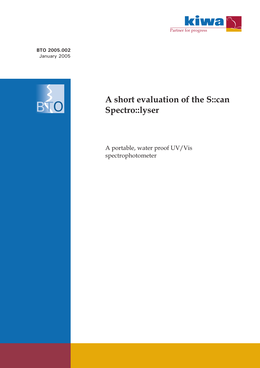

**BTO 2005.002** January 2005



## **A short evaluation of the S::can Spectro::lyser**

 $\mathbb{P}^{\text{Poisson}}$ spectrophotometer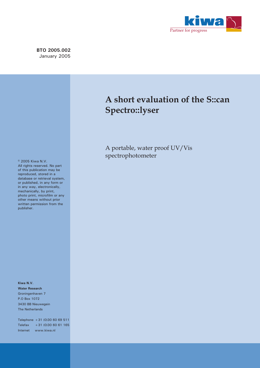

**BTO 2005.002** January 2005

## **A short evaluation of the S::can Spectro::lyser**

A portable, water process, was spectrophotometer

© 2005 Kiwa N.V. All rights reserved. No part of this publication may be reproduced, stored in a database or retrieval system, or published, in any form or in any way, electronically, mechanically, by print, photo print, microfilm or any other means without prior written permission from the publisher.

**Kiwa N.V. Water Research** Groningenhaven 7 P.O Box 1072 3430 BB Nieuwegein The Netherlands

Telephone +31 (0)30 60 69 511 Telefax +31 (0)30 60 61 165 Internet www.kiwa.nl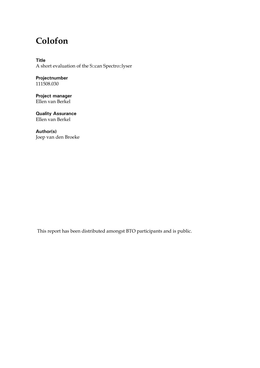## **Colofon**

**Title**  A short evaluation of the S::can Spectro::lyser

**Projectnumber**  111508.030

**Project manager**  Ellen van Berkel

**Quality Assurance**  Ellen van Berkel

**Author(s)**  Joep van den Broeke

This report has been distributed amongst BTO participants and is public.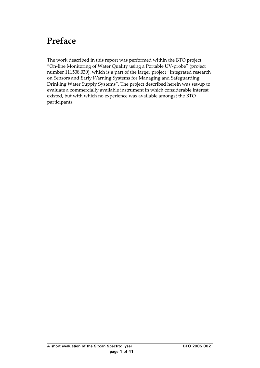# <span id="page-3-0"></span>**Preface**

The work described in this report was performed within the BTO project "On-line Monitoring of Water Quality using a Portable UV-probe" (project number 111508.030), which is a part of the larger project "Integrated research on Sensors and *E*arly *W*arning *S*ystems for Managing and Safeguarding Drinking Water Supply Systems". The project described herein was set-up to evaluate a commercially available instrument in which considerable interest existed, but with which no experience was available amongst the BTO participants.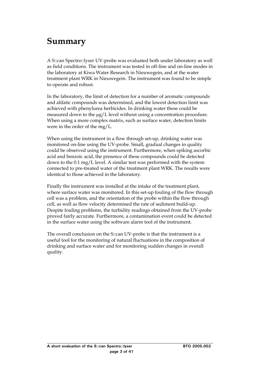## <span id="page-5-0"></span>**Summary**

A S::can Spectro::lyser UV-probe was evaluated both under laboratory as well as field conditions. The instrument was tested in off-line and on-line modes in the laboratory at Kiwa Water Research in Nieuwegein, and at the water treatment plant WRK in Nieuwegein. The instrument was found to be simple to operate and robust.

In the laboratory, the limit of detection for a number of aromatic compounds and alifatic compounds was determined, and the lowest detection limit was achieved with phenylurea herbicides. In drinking water these could be measured down to the  $\mu$ g/L level without using a concentration procedure. When using a more complex matrix, such as surface water, detection limits were in the order of the mg/L.

When using the instrument in a flow through set-up, drinking water was monitored on-line using the UV-probe. Small, gradual changes in quality could be observed using the instrument. Furthermore, when spiking ascorbic acid and benzoic acid, the presence of these compounds could be detected down to the 0.1 mg/L level. A similar test was performed with the system connected to pre-treated water of the treatment plant WRK. The results were identical to those achieved in the laboratory.

Finally the instrument was installed at the intake of the treatment plant, where surface water was monitored. In this set-up fouling of the flow through cell was a problem, and the orientation of the probe within the flow through cell, as well as flow velocity determined the rate of sediment build-up. Despite fouling problems, the turbidity readings obtained from the UV-probe proved fairly accurate. Furthermore, a contamination event could be detected in the surface water using the software alarm tool of the instrument.

The overall conclusion on the S::can UV-probe is that the instrument is a useful tool for the monitoring of natural fluctuations in the composition of drinking and surface water and for monitoring sudden changes in overall quality.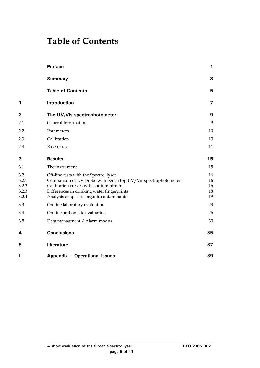## <span id="page-7-0"></span>**Table of Contents**

|                                         | <b>Preface</b>                                                                                                                                                                                                                                | 1                          |
|-----------------------------------------|-----------------------------------------------------------------------------------------------------------------------------------------------------------------------------------------------------------------------------------------------|----------------------------|
|                                         | <b>Summary</b>                                                                                                                                                                                                                                | 3                          |
|                                         | <b>Table of Contents</b>                                                                                                                                                                                                                      | 5                          |
| 1                                       | Introduction                                                                                                                                                                                                                                  | 7                          |
| $\mathbf{2}$                            | The UV/Vis spectrophotometer                                                                                                                                                                                                                  | 9                          |
| 2.1                                     | General Information                                                                                                                                                                                                                           | 9                          |
| 2.2                                     | Parameters                                                                                                                                                                                                                                    | 10                         |
| 2.3                                     | Calibration                                                                                                                                                                                                                                   | 10                         |
| 2.4                                     | Ease of use                                                                                                                                                                                                                                   | 11                         |
| 3                                       | <b>Results</b>                                                                                                                                                                                                                                | 15                         |
| 3.1                                     | The instrument                                                                                                                                                                                                                                | 15                         |
| 3.2<br>3.2.1<br>3.2.2<br>3.2.3<br>3.2.4 | Off-line tests with the Spectro::lyser<br>Comparison of UV-probe with bench top UV/Vis spectrophotometer<br>Calibration curves with sodium nitrate<br>Differences in drinking water fingerprints<br>Analysis of specific organic contaminants | 16<br>16<br>16<br>18<br>19 |
| 3.3                                     | On-line laboratory evaluation                                                                                                                                                                                                                 | 23                         |
| 3.4                                     | On-line and on-site evaluation                                                                                                                                                                                                                | 26                         |
| 3.5                                     | Data managment / Alarm modus                                                                                                                                                                                                                  | 30                         |
| 4                                       | <b>Conclusions</b>                                                                                                                                                                                                                            | 35                         |
| 5                                       | <b>Literature</b>                                                                                                                                                                                                                             | 37                         |
| I                                       | Appendix - Operational issues                                                                                                                                                                                                                 | 39                         |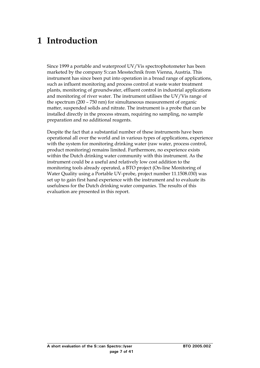# <span id="page-9-0"></span>**1 Introduction**

Since 1999 a portable and waterproof UV/Vis spectrophotometer has been marketed by the company S::can Messtechnik from Vienna, Austria. This instrument has since been put into operation in a broad range of applications, such as influent monitoring and process control at waste water treatment plants, monitoring of groundwater, effluent control in industrial applications and monitoring of river water. The instrument utilises the UV/Vis range of the spectrum (200 – 750 nm) for simultaneous measurement of organic matter, suspended solids and nitrate. The instrument is a probe that can be installed directly in the process stream, requiring no sampling, no sample preparation and no additional reagents.

Despite the fact that a substantial number of these instruments have been operational all over the world and in various types of applications, experience with the system for monitoring drinking water (raw water, process control, product monitoring) remains limited. Furthermore, no experience exists within the Dutch drinking water community with this instrument. As the instrument could be a useful and relatively low cost addition to the monitoring tools already operated, a BTO project (On-line Monitoring of Water Quality using a Portable UV-probe, project number 11.1508.030) was set up to gain first hand experience with the instrument and to evaluate its usefulness for the Dutch drinking water companies. The results of this evaluation are presented in this report.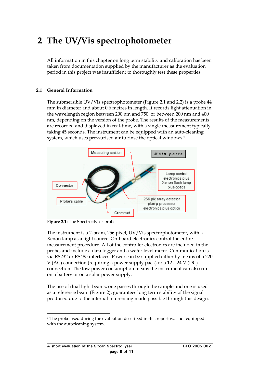# <span id="page-11-0"></span>**2 The UV/Vis spectrophotometer**

All information in this chapter on long term stability and calibration has been taken from documentation supplied by the manufacturer as the evaluation period in this project was insufficient to thoroughly test these properties.

#### **2.1 General Information**

The submersible UV/Vis spectrophotometer (Figure 2.1 and 2.2) is a probe 44 mm in diameter and about 0.6 metres in length. It records light attenuation in the wavelength region between 200 nm and 750, or between 200 nm and 400 nm, depending on the version of the probe. The results of the measurements are recorded and displayed in real-time, with a single measurement typically taking 45 seconds. The instrument can be equipped with an auto-cleaning system, which uses pressurised air to rinse the optical windows.[1](#page-11-1) 



**Figure 2.1:** The Spectro::lyser probe.

The instrument is a 2-beam, 256 pixel, UV/Vis spectrophotometer, with a Xenon lamp as a light source. On-board electronics control the entire measurement procedure. All of the controller electronics are included in the probe, and include a data logger and a water level meter. Communication is via RS232 or RS485 interfaces. Power can be supplied either by means of a 220 V (AC) connection (requiring a power supply pack) or a 12 – 24 V (DC) connection. The low power consumption means the instrument can also run on a battery or on a solar power supply.

The use of dual light beams, one passes through the sample and one is used as a reference beam (Figure 2), guarantees long term stability of the signal produced due to the internal referencing made possible through this design.

<span id="page-11-1"></span><sup>&</sup>lt;sup>1</sup> The probe used during the evaluation described in this report was not equipped with the autocleaning system.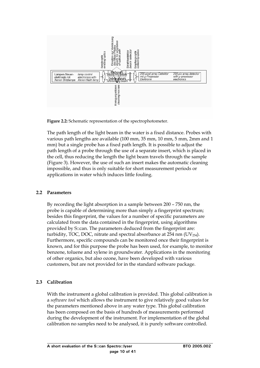<span id="page-12-0"></span>

**Figure 2.2:** Schematic representation of the spectrophotometer.

The path length of the light beam in the water is a fixed distance. Probes with various path lengths are available (100 mm, 35 mm, 10 mm, 5 mm, 2mm and 1 mm) but a single probe has a fixed path length. It is possible to adjust the path length of a probe through the use of a separate insert, which is placed in the cell, thus reducing the length the light beam travels through the sample (Figure 3). However, the use of such an insert makes the automatic cleaning impossible, and thus is only suitable for short measurement periods or applications in water which induces little fouling.

## **2.2 Parameters**

By recording the light absorption in a sample between 200 – 750 nm, the probe is capable of determining more than simply a fingerprint spectrum; besides this fingerprint, the values for a number of specific parameters are calculated from the data contained in the fingerprint, using algorithms provided by S::can. The parameters deduced from the fingerprint are: turbidity, TOC, DOC, nitrate and spectral absorbance at  $254$  nm (UV $_{254}$ ). Furthermore, specific compounds can be monitored once their fingerprint is known, and for this purpose the probe has been used, for example, to monitor benzene, toluene and xylene in groundwater. Applications in the monitoring of other organics, but also ozone, have been developed with various customers, but are not provided for in the standard software package.

## **2.3 Calibration**

With the instrument a global calibration is provided. This global calibration is a *software tool* which allows the instrument to give relatively good values for the parameters mentioned above in any water type. This global calibration has been composed on the basis of hundreds of measurements performed during the development of the instrument. For implementation of the global calibration no samples need to be analysed, it is purely software controlled.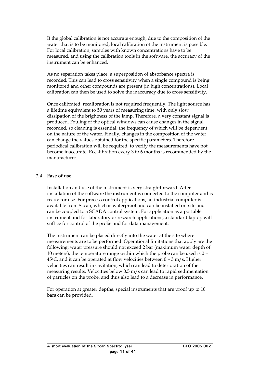<span id="page-13-0"></span>If the global calibration is not accurate enough, due to the composition of the water that is to be monitored, local calibration of the instrument is possible. For local calibration, samples with known concentrations have to be measured, and using the calibration tools in the software, the accuracy of the instrument can be enhanced.

As no separation takes place, a superposition of absorbance spectra is recorded. This can lead to cross sensitivity when a single compound is being monitored and other compounds are present (in high concentrations). Local calibration can then be used to solve the inaccuracy due to cross sensitivity.

Once calibrated, recalibration is not required frequently. The light source has a lifetime equivalent to 50 years of measuring time, with only slow dissipation of the brightness of the lamp. Therefore, a very constant signal is produced. Fouling of the optical windows can cause changes in the signal recorded, so cleaning is essential, the frequency of which will be dependent on the nature of the water. Finally, changes in the composition of the water can change the values obtained for the specific parameters. Therefore periodical calibration will be required, to verify the measurements have not become inaccurate. Recalibration every 3 to 6 months is recommended by the manufacturer.

#### **2.4 Ease of use**

Installation and use of the instrument is very straightforward. After installation of the software the instrument is connected to the computer and is ready for use. For process control applications, an industrial computer is available from S::can, which is waterproof and can be installed on-site and can be coupled to a SCADA control system. For application as a portable instrument and for laboratory or research applications, a standard laptop will suffice for control of the probe and for data management.

The instrument can be placed directly into the water at the site where measurements are to be performed. Operational limitations that apply are the following: water pressure should not exceed 2 bar (maximum water depth of 10 meters), the temperature range within which the probe can be used is 0 – 45 $\degree$ C, and it can be operated at flow velocities between 0 – 3 m/s. Higher velocities can result in cavitation, which can lead to deterioration of the measuring results. Velocities below 0.5 m/s can lead to rapid sedimentation of particles on the probe, and thus also lead to a decrease in performance.

For operation at greater depths, special instruments that are proof up to 10 bars can be provided.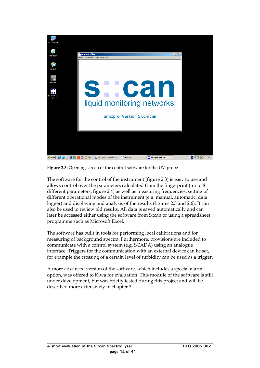

**Figure 2.3:** Opening screen of the control software for the UV-probe

The software for the control of the instrument (figure 2.3) is easy to use and allows control over the parameters calculated from the fingerprint (up to 8 different parameters, figure 2.4) as well as measuring frequencies, setting of different operational modes of the instrument (e.g. manual, automatic, data logger) and displaying and analysis of the results (figures 2.5 and 2.6). It can also be used to review old results. All data is saved automatically and can later be accessed either using the software from S::can or using a spreadsheet programme such as Microsoft Excel.

The software has built in tools for performing local calibrations and for measuring of background spectra. Furthermore, provisions are included to communicate with a control system (e.g. SCADA) using an analogue interface. Triggers for the communication with an external device can be set, for example the crossing of a certain level of turbidity can be used as a trigger.

A more advanced version of the software, which includes a special alarm option, was offered to Kiwa for evaluation. This module of the software is still under development, but was briefly tested during this project and will be described more extensively in chapter 3.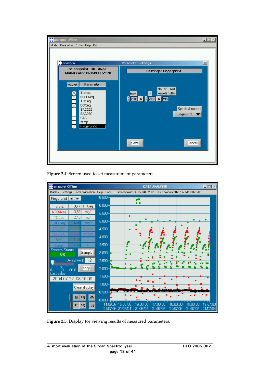| <b>T</b> ana::pro Offline<br>$\Box$<br>Mode Parameter Extra Help Exit                                                                            |                                                                                                                         |  |  |  |  |  |  |
|--------------------------------------------------------------------------------------------------------------------------------------------------|-------------------------------------------------------------------------------------------------------------------------|--|--|--|--|--|--|
|                                                                                                                                                  |                                                                                                                         |  |  |  |  |  |  |
| <b>de</b> ana::pro                                                                                                                               | $\times$<br><b>Parameter Settings</b>                                                                                   |  |  |  |  |  |  |
| s::canpoint: ORIGINAL<br>Global calib: DRINK000V120                                                                                              | <b>Settings: Fingerprint</b>                                                                                            |  |  |  |  |  |  |
| Active<br>Parameter<br>Turbid.<br>NO3-Neq<br>TOCeg<br><b>DOCeq</b><br><b>SAC262</b><br><b>SAC230</b><br><b>SAC</b><br>temp<br><b>Fingerprint</b> | No. of used<br>wavelengths<br>to<br>from<br>$\frac{6}{200}$ m $\frac{6}{235}$ m $215$<br>Spectral source<br>Fingerprint |  |  |  |  |  |  |
|                                                                                                                                                  | Save<br>Cancel                                                                                                          |  |  |  |  |  |  |

**Figure 2.4:** Screen used to set measurement parameters.



**Figure 2.5:** Display for viewing results of measured parameters.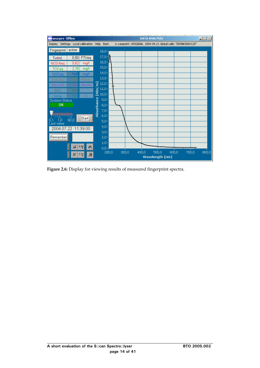| ana::pro Offline                                                                                             |                    |           |            |                               |       |       | <b>DATA ANALYSIS</b> |                        |       |  |       | $\Box \Box \times$ |  |
|--------------------------------------------------------------------------------------------------------------|--------------------|-----------|------------|-------------------------------|-------|-------|----------------------|------------------------|-------|--|-------|--------------------|--|
| Display Settings Local calibration Help Back - s::canpoint: ORIGINAL 2004.04.21 Global calib: "DRINK000V120" |                    |           |            |                               |       |       |                      |                        |       |  |       |                    |  |
| Fingerprint                                                                                                  | active             |           |            | $18,0 -$                      |       |       |                      |                        |       |  |       |                    |  |
| Turbid.                                                                                                      | 0,50               | FTUeq     |            | $17,0 -$                      |       |       |                      |                        |       |  |       |                    |  |
| NO3-Neq                                                                                                      | 0,62               | mg/l      |            | $16,0-$                       |       |       |                      |                        |       |  |       |                    |  |
| TOCeq                                                                                                        | 2,18               | mg/l      |            | $15,0 -$                      |       |       |                      |                        |       |  |       |                    |  |
| <b>DOCeq</b>                                                                                                 | Na                 | mg/l      |            | $14,0 -$                      |       |       |                      |                        |       |  |       |                    |  |
| SAC262                                                                                                       | Na                 | Abs/m     |            | $13,0 -$                      |       |       |                      |                        |       |  |       |                    |  |
| 3AC230                                                                                                       |                    | \bs/m     |            | $\sqrt{2}$ 12,0-              |       |       |                      |                        |       |  |       |                    |  |
| <b>SAC</b>                                                                                                   | Nat                |           |            | $\sum_{1,0}$ 11,0 -<br>10,0 - |       |       |                      |                        |       |  |       |                    |  |
| temp                                                                                                         |                    | C.        |            |                               |       |       |                      |                        |       |  |       |                    |  |
| System-Status                                                                                                |                    |           |            | $9,0 -$                       |       |       |                      |                        |       |  |       |                    |  |
| OK                                                                                                           |                    |           |            | $8,0 -$                       |       |       |                      |                        |       |  |       |                    |  |
|                                                                                                              |                    |           | Absorbance | $7,0 -$                       |       |       |                      |                        |       |  |       |                    |  |
| <b>COU</b><br>0.1<br>-1.0                                                                                    | <b>COL</b><br>60,0 | Start     |            | 6,0                           |       |       |                      |                        |       |  |       |                    |  |
| Last value:                                                                                                  |                    |           |            | 5,0                           |       |       |                      |                        |       |  |       |                    |  |
| 2004.07.22 11:39:00                                                                                          |                    |           |            | 4,0                           |       |       |                      |                        |       |  |       |                    |  |
|                                                                                                              |                    |           |            | 3,0                           |       |       |                      |                        |       |  |       |                    |  |
| Remember                                                                                                     |                    |           |            | 2,0                           |       |       |                      |                        |       |  |       |                    |  |
|                                                                                                              | <b>IX</b>          | 8.88<br>⑩ |            | 1,0                           |       |       |                      |                        |       |  |       |                    |  |
|                                                                                                              |                    |           |            | $0,0-1$<br>200,0              | 300,0 | 400,0 | 500,0                |                        | 600,0 |  | 700,0 | 800,0              |  |
|                                                                                                              | I۲                 | Y.YY<br>Ą |            |                               |       |       |                      | <b>Wavelength [nm]</b> |       |  |       |                    |  |

Figure 2.6: Display for viewing results of measured fingerprint spectra.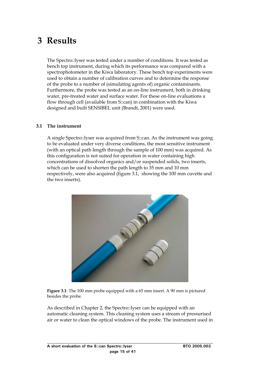## <span id="page-17-0"></span>**3 Results**

The Spectro::lyser was tested under a number of conditions. It was tested as bench top instrument, during which its performance was compared with a spectrophotometer in the Kiwa laboratory. These bench top experiments were used to obtain a number of calibration curves and to determine the response of the probe to a number of (simulating agents of) organic contaminants. Furthermore, the probe was tested as an on-line instrument, both in drinking water, pre-treated water and surface water. For these on-line evaluations a flow through cell (available from S::can) in combination with the Kiwa designed and built SENSIBEL unit (Brandt, 2001) were used.

#### **3.1 The instrument**

A single Spectro::lyser was acquired from S::can. As the instrument was going to be evaluated under very diverse conditions, the most sensitive instrument (with an optical path length through the sample of 100 mm) was acquired. As this configuration is not suited for operation in water containing high concentrations of dissolved organics and/or suspended solids, two inserts, which can be used to shorten the path length to 35 mm and 10 mm respectively, were also acquired (figure 3.1, showing the 100 mm cuvette and the two inserts).



**Figure 3.1**: The 100 mm probe equipped with a 65 mm insert. A 90 mm is pictured besides the probe.

As described in Chapter 2, the Spectro::lyser can be equipped with an automatic cleaning system. This cleaning system uses a stream of pressurised air or water to clean the optical windows of the probe. The instrument used in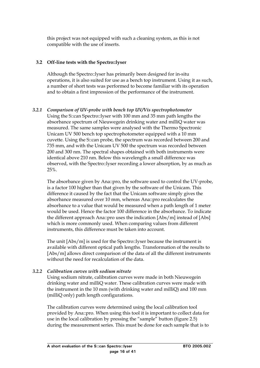<span id="page-18-0"></span>this project was not equipped with such a cleaning system, as this is not compatible with the use of inserts.

## **3.2 Off-line tests with the Spectro::lyser**

Although the Spectro::lyser has primarily been designed for in-situ operations, it is also suited for use as a bench top instrument. Using it as such, a number of short tests was performed to become familiar with its operation and to obtain a first impression of the performance of the instrument.

## *3.2.1 Comparison of UV-probe with bench top UV/Vis spectrophotometer*

Using the S::can Spectro::lyser with 100 mm and 35 mm path lengths the absorbance spectrum of Nieuwegein drinking water and milliQ water was measured. The same samples were analysed with the Thermo Spectronic Unicam UV 500 bench top spectrophotometer equipped with a 10 mm cuvette. Using the S::can probe, the spectrum was recorded between 200 and 735 mm, and with the Unicam UV 500 the spectrum was recorded between 200 and 300 nm. The spectral shapes obtained with both instruments were identical above 210 nm. Below this wavelength a small difference was observed, with the Spectro::lyser recording a lower absorption, by as much as 25%.

The absorbance given by Ana::pro, the software used to control the UV-probe, is a factor 100 higher than that given by the software of the Unicam. This difference it caused by the fact that the Unicam software simply gives the absorbance measured over 10 mm, whereas Ana::pro recalculates the absorbance to a value that would be measured when a path length of 1 meter would be used. Hence the factor 100 difference in the absorbance. To indicate the different approach Ana::pro uses the indication [Abs/m] instead of [Abs] which is more commonly used. When comparing values from different instruments, this difference must be taken into account.

The unit [Abs/m] is used for the Spectro::lyser because the instrument is available with different optical path lengths. Transformation of the results to [Abs/m] allows direct comparison of the data of all the different instruments without the need for recalculation of the data.

## *3.2.2 Calibration curves with sodium nitrate*

Using sodium nitrate, calibration curves were made in both Nieuwegein drinking water and milliQ water. These calibration curves were made with the instrument in the 10 mm (with drinking water and milliQ) and 100 mm (milliQ only) path length configurations.

The calibration curves were determined using the local calibration tool provided by Ana::pro. When using this tool it is important to collect data for use in the local calibration by pressing the "sample" button (figure 2.5) during the measurement series. This must be done for each sample that is to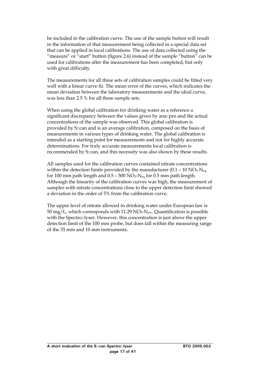be included in the calibration curve. The use of the sample button will result in the information of that measurement being collected in a special data set that can be applied in local calibrations. The use of data collected using the "measure" or "start" button (figure 2.6) instead of the sample "button" can be used for calibrations after the measurement has been completed, but only with great difficulty.

The measurements for all three sets of calibration samples could be fitted very well with a linear curve fit. The mean error of the curves, which indicates the mean deviation between the laboratory measurements and the ideal curve, was less than 2.5 % for all three sample sets.

When using the global calibration for drinking water as a reference a significant discrepancy between the values given by ana::pro and the actual concentrations of the sample was observed. This global calibration is provided by S::can and is an average calibration, composed on the basis of measurements in various types of drinking water. The global calibration is intended as a starting point for measurements and not for highly accurate determinations. For truly accurate measurements local calibration is recommended by S::can, and this necessity was also shown by these results.

All samples used for the calibration curves contained nitrate concentrations within the detection limits provided by the manufacturer (0.1 – 10  $NO<sub>3</sub>$ - $N<sub>eq</sub>$ ) for 100 mm path length and  $0.5 - 500$  NO<sub>3</sub>-N<sub>eq</sub> for 0.5 mm path length. Although the linearity of the calibration curves was high, the measurement of samples with nitrate concentrations close to the upper detection limit showed a deviation in the order of 5% from the calibration curve.

The upper level of nitrate allowed in drinking water under European law is 50 mg/L, which corresponds with 11.29  $NO<sub>3</sub>-N<sub>ew</sub>$ . Quantification is possible with the Spectro::lyser. However, this concentration is just above the upper detection limit of the 100 mm probe, but does fall within the measuring range of the 35 mm and 10 mm instruments.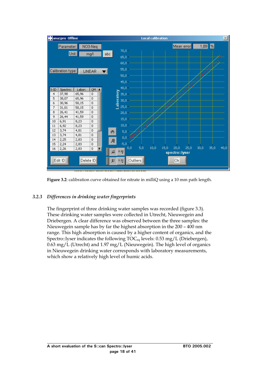<span id="page-20-0"></span>

**Figure 3.2**: calibration curve obtained for nitrate in milliQ using a 10 mm path length.

## *3.2.3 Differences in drinking water fingerprints*

The fingerprint of three drinking water samples was recorded (figure 3.3). These drinking water samples were collected in Utrecht, Nieuwegein and Driebergen. A clear difference was observed between the three samples: the Nieuwegein sample has by far the highest absorption in the 200 – 400 nm range. This high absorption is caused by a higher content of organics, and the Spectro::lyser indicates the following TOC<sub>eq</sub> levels: 0.53 mg/L (Driebergen), 0.63 mg/L (Utrecht) and 1.97 mg/L (Nieuwegein). The high level of organics in Nieuwegein drinking water corresponds with laboratory measurements, which show a relatively high level of humic acids.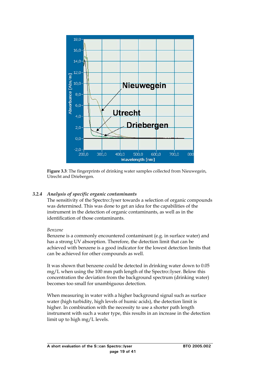<span id="page-21-0"></span>

**Figure 3.3**: The fingerprints of drinking water samples collected from Nieuwegein, Utrecht and Driebergen.

## *3.2.4 Analysis of specific organic contaminants*

The sensitivity of the Spectro::lyser towards a selection of organic compounds was determined. This was done to get an idea for the capabilities of the instrument in the detection of organic contaminants, as well as in the identification of those contaminants.

## *Benzene*

Benzene is a commonly encountered contaminant (e.g. in surface water) and has a strong UV absorption. Therefore, the detection limit that can be achieved with benzene is a good indicator for the lowest detection limits that can be achieved for other compounds as well.

It was shown that benzene could be detected in drinking water down to 0.05 mg/L when using the 100 mm path length of the Spectro::lyser. Below this concentration the deviation from the background spectrum (drinking water) becomes too small for unambiguous detection.

When measuring in water with a higher background signal such as surface water (high turbidity, high levels of humic acids), the detection limit is higher. In combination with the necessity to use a shorter path length instrument with such a water type, this results in an increase in the detection limit up to high mg/L levels.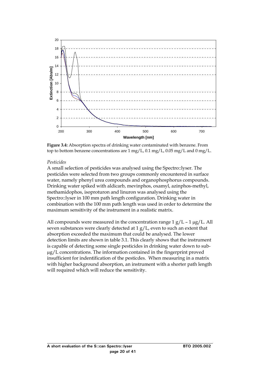

**Figure 3.4:** Absorption spectra of drinking water contaminated with benzene. From top to bottom benzene concentrations are 1 mg/L, 0.1 mg/L, 0.05 mg/L and 0 mg/L.

#### *Pesticides*

A small selection of pesticides was analysed using the Spectro::lyser. The pesticides were selected from two groups commonly encountered in surface water, namely phenyl urea compounds and organophosphorus compounds. Drinking water spiked with aldicarb, mevinphos, oxamyl, azinphos-methyl, methamidophos, isoproturon and linuron was analysed using the Spectro::lyser in 100 mm path length configuration. Drinking water in combination with the 100 mm path length was used in order to determine the maximum sensitivity of the instrument in a realistic matrix.

All compounds were measured in the concentration range  $1 g/L - 1 \mu g/L$ . All seven substances were clearly detected at 1 g/L, even to such an extent that absorption exceeded the maximum that could be analysed. The lower detection limits are shown in table 3.1. This clearly shows that the instrument is capable of detecting some single pesticides in drinking water down to subµg/L concentrations. The information contained in the fingerprint proved insufficient for indentification of the pesticdes. When measuring in a matrix with higher background absorption, an instrument with a shorter path length will required which will reduce the sensitivity.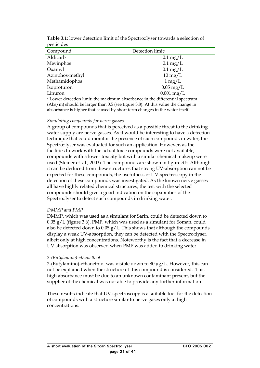| positiuto                                                                               |                              |  |  |  |  |
|-----------------------------------------------------------------------------------------|------------------------------|--|--|--|--|
| Compound                                                                                | Detection limit <sup>a</sup> |  |  |  |  |
| Aldicarb                                                                                | $0.1 \text{ mg/L}$           |  |  |  |  |
| Mevinphos                                                                               | $0.1 \text{ mg/L}$           |  |  |  |  |
| Oxamyl                                                                                  | $0.1 \text{ mg/L}$           |  |  |  |  |
| Azinphos-methyl                                                                         | $10 \,\mathrm{mg/L}$         |  |  |  |  |
| Methamidophos                                                                           | $1 \,\mathrm{mg/L}$          |  |  |  |  |
| Isoproturon                                                                             | $0.05 \text{ mg/L}$          |  |  |  |  |
| Linuron                                                                                 | $0.001$ mg/L                 |  |  |  |  |
| <sup>a</sup> Lower detection limit: the maximum absorbance in the differential spectrum |                              |  |  |  |  |
| $(Abs/m)$ should be larger than 0.5 (see figure 3.8). At this value the change in       |                              |  |  |  |  |

**Table 3.1**: lower detection limit of the Spectro::lyser towards a selection of pesticides

absorbance is higher that caused by short term changes in the water itself.

#### *Simulating compounds for nerve gasses*

A group of compounds that is perceived as a possible threat to the drinking water supply are nerve gasses. As it would be interesting to have a detection technique that could monitor the presence of such compounds in water, the Spectro::lyser was evaluated for such an application. However, as the facilities to work with the actual toxic compounds were not available, compounds with a lower toxicity but with a similar chemical makeup were used (Steiner et. al., 2003). The compounds are shown in figure 3.5. Although it can be deduced from these structures that strong UV-absorption can not be expected for these compounds, the usefulness of UV-spectroscopy in the detection of these compounds was investigated. As the known nerve gasses all have highly related chemical structures, the test with the selected compounds should give a good indication on the capabilities of the Spectro::lyser to detect such compounds in drinking water.

#### *DMMP and PMP*

DMMP, which was used as a simulant for Sarin, could be detected down to 0.05 g/L (figure 3.6). PMP, which was used as a simulant for Soman, could also be detected down to 0.05 g/L. This shows that although the compounds display a weak UV-absorption, they can be detected with the Spectro::lyser, albeit only at high concentrations. Noteworthy is the fact that a decrease in UV absorption was observed when PMP was added to drinking water.

#### *2-(Butylamino)-ethanethiol*

2-(Butylamino)-ethanethiol was visible down to 80 µg/L. However, this can not be explained when the structure of this compound is considered. This high absorbance must be due to an unknown contaminant present, but the supplier of the chemical was not able to provide any further information.

These results indicate that UV-spectroscopy is a suitable tool for the detection of compounds with a structure similar to nerve gases only at high concentrations.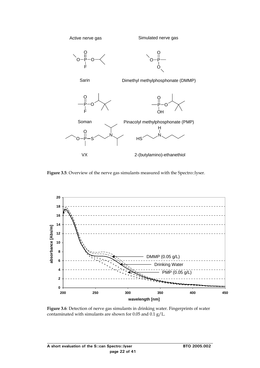

**Figure 3.5**: Overview of the nerve gas simulants measured with the Spectro::lyser.



**Figure 3.6**: Detection of nerve gas simulants in drinking water. Fingerprints of water contaminated with simulants are shown for 0.05 and 0.1 g/L.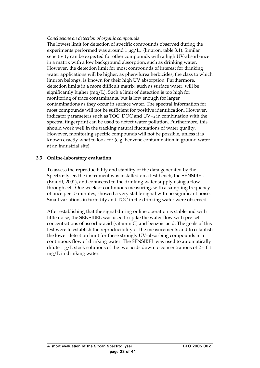### <span id="page-25-0"></span>*Conclusions on detection of organic compounds*

The lowest limit for detection of specific compounds observed during the experiments performed was around 1  $\mu$ g/L, (linuron, table 3.1). Similar sensitivity can be expected for other compounds with a high UV-absorbance in a matrix with a low background absorption, such as drinking water. However, the detection limit for most compounds of interest for drinking water applications will be higher, as phenylurea herbicides, the class to which linuron belongs, is known for their high UV absorption. Furthermore, detection limits in a more difficult matrix, such as surface water, will be significantly higher (mg/L). Such a limit of detection is too high for monitoring of trace contaminants, but is low enough for larger contaminations as they occur in surface water. The spectral information for most compounds will not be sufficient for positive identification. However, indicator parameters such as TOC, DOC and  $UV_{254}$  in combination with the spectral fingerprint can be used to detect water pollution. Furthermore, this should work well in the tracking natural fluctuations of water quality. However, monitoring specific compounds will not be possible, unless it is known exactly what to look for (e.g. benzene contamination in ground water at an industrial site).

#### **3.3 Online-laboratory evaluation**

To assess the reproducibility and stability of the data generated by the Spectro::lyser, the instrument was installed on a test bench, the SENSIBEL (Brandt, 2001), and connected to the drinking water supply using a flow through cell. One week of continuous measuring, with a sampling frequency of once per 15 minutes, showed a very stable signal with no significant noise. Small variations in turbidity and TOC in the drinking water were observed.

After establishing that the signal during online operation is stable and with little noise, the SENSIBEL was used to spike the water flow with pre-set concentrations of ascorbic acid (vitamin C) and benzoic acid. The goals of this test were to establish the reproducibility of the measurements and to establish the lower detection limit for these strongly UV-absorbing compounds in a continuous flow of drinking water. The SENSIBEL was used to automatically dilute 1 g/L stock solutions of the two acids down to concentrations of 2 - 0.1 mg/L in drinking water.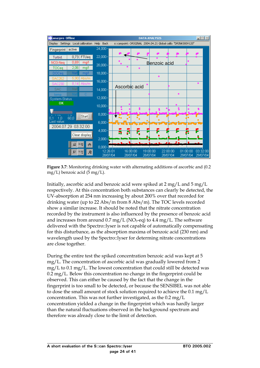

**Figure 3.7**: Monitoring drinking water with alternating additions of ascorbic and (0.2 mg/L) benzoic acid (5 mg/L).

Initially, ascorbic acid and benzoic acid were spiked at 2 mg/L and 5 mg/L respectively. At this concentration both substances can clearly be detected, the UV-absorption at 254 nm increasing by about 200% over that recorded for drinking water (up to 22 Abs/m from 8 Abs/m). The TOC levels recorded show a similar increase. It should be noted that the nitrate concentration recorded by the instrument is also influenced by the presence of benzoic acid and increases from around  $0.7 \text{ mg/L}$  (NO<sub>3</sub>-eq) to  $4.4 \text{ mg/L}$ . The software delivered with the Spectro::lyser is not capable of automatically compensating for this disturbance, as the absorption maxima of benzoic acid (230 nm) and wavelength used by the Spectro::lyser for determing nitrate concentrations are close together.

During the entire test the spiked concentration benzoic acid was kept at 5 mg/L. The concentration of ascorbic acid was gradually lowered from 2 mg/L to 0.1 mg/L. The lowest concentration that could still be detected was 0.2 mg/L. Below this concentration no change in the fingerprint could be observed. This can either be caused by the fact that the change in the fingerprint is too small to be detected, or because the SENSIBEL was not able to dose the small amount of stock solution required to achieve the 0.1 mg/L concentration. This was not further investigated, as the 0.2 mg/L concentration yielded a change in the fingerprint which was hardly larger than the natural fluctuations observed in the background spectrum and therefore was already close to the limit of detection.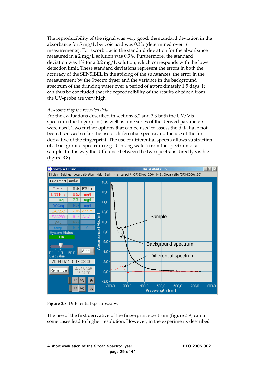The reproducibility of the signal was very good: the standard deviation in the absorbance for 5 mg/L benzoic acid was 0.3% (determined over 16 measurements). For ascorbic acid the standard deviation for the absorbance measured in a 2 mg/L solution was 0.9%. Furthermore, the standard deviation was 1% for a 0.2 mg/L solution, which corresponds with the lower detection limit. These standard deviations represent the errors in both the accuracy of the SENSIBEL in the spiking of the substances, the error in the measurement by the Spectro::lyser and the variance in the background spectrum of the drinking water over a period of approximately 1.5 days. It can thus be concluded that the reproducibility of the results obtained from the UV-probe are very high.

#### *Assessment of the recorded data*

For the evaluations described in sections 3.2 and 3.3 both the UV/Vis spectrum (the fingerprint) as well as time series of the derived parameters were used. Two further options that can be used to assess the data have not been discussed so far: the use of differential spectra and the use of the first derivative of the fingerprint. The use of differential spectra allows subtraction of a background spectrum (e.g. drinking water) from the spectrum of a sample. In this way the difference between the two spectra is directly visible (figure 3.8).



**Figure 3.8**: Differential spectroscopy.

The use of the first derivative of the fingerprint spectrum (figure 3.9) can in some cases lead to higher resolution. However, in the experiments described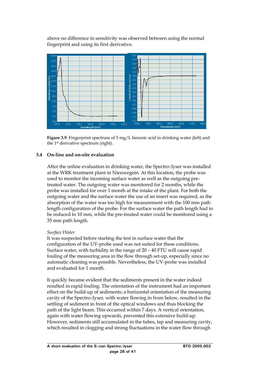<span id="page-28-0"></span>above no difference in sensitivity was observed between using the normal fingerprint and using its first derivative.



**Figure 3.9**: Fingerprint spectrum of 5 mg/L benzoic acid in drinking water (left) and the 1st derivative spectrum (right).

#### **3.4 On-line and on-site evaluation**

After the online evaluation in drinking water, the Spectro::lyser was installed at the WRK treatment plant in Nieuwegein. At this location, the probe was used to monitor the incoming surface water as well as the outgoing pretreated water. The outgoing water was monitored for 2 months, while the probe was installed for over 1 month at the intake of the plant. For both the outgoing water and the surface water the use of an insert was required, as the absorption of the water was too high for measurement with the 100 mm path length configuration of the probe. For the surface water the path length had to be reduced to 10 mm, while the pre-treated water could be monitored using a 35 mm path length.

#### *Surface Water*

It was suspected before starting the test in surface water that the configuration of the UV-probe used was not suited for these conditions. Surface water, with turbidity in the range of 20 – 40 FTU will cause rapid fouling of the measuring area in the flow through set-up, especially since no automatic cleaning was possible. Nevertheless, the UV-probe was installed and evaluated for 1 month.

It quickly became evident that the sediments present in the water indeed resulted in rapid fouling. The orientation of the instrument had an important effect on the build-up of sediments; a horizontal orientation of the measuring cavity of the Spectro::lyser, with water flowing in from below, resulted in the settling of sediment in front of the optical windows and thus blocking the path of the light beam. This occurred within 7 days. A vertical orientation, again with water flowing upwards, prevented this extensive build-up. However, sediments still accumulated in the tubes, tap and measuring cavity, which resulted in clogging and strong fluctuations in the water flow through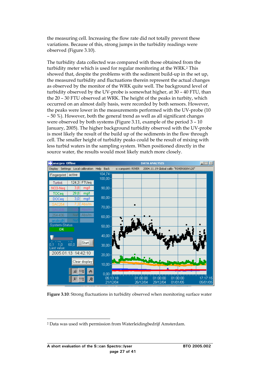the measuring cell. Increasing the flow rate did not totally prevent these variations. Because of this, strong jumps in the turbidity readings were observed (Figure 3.10).

The turbidity data collected was compared with those obtained from the turbidity meter which is used for regular monitoring at the WRK.[2](#page-29-0) This showed that, despite the problems with the sediment build-up in the set up, the measured turbidity and fluctuations therein represent the actual changes as observed by the monitor of the WRK quite well. The background level of turbidity observed by the UV-probe is somewhat higher, at 30 – 40 FTU, than the 20 – 30 FTU observed at WRK. The height of the peaks in turbity, which occurred on an almost daily basis, were recorded by both sensors. However, the peaks were lower in the measurements performed with the UV-probe (10 – 50 %). However, both the general trend as well as all significant changes were observed by both systems (Figure 3.11, example of the period 3 – 10 January, 2005). The higher background turbidity observed with the UV-probe is most likely the result of the build up of the sediments in the flow through cell. The smaller height of turbidity peaks could be the result of mixing with less turbid waters in the sampling system. When positioned directly in the source water, the results would most likely match more closely.



**Figure 3.10**: Strong fluctuations in turbidity observed when monitoring surface water

<span id="page-29-0"></span> <sup>2</sup> Data was used with permission from Waterleidingbedrijf Amsterdam.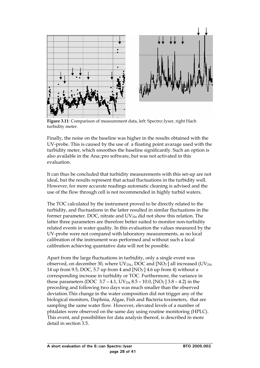

**Figure 3.11**: Comparison of measurement data, left: Spectro::lyser, right Hach turbidity meter.

Finally, the noise on the baseline was higher in the results obtained with the UV-probe. This is caused by the use of a floating point avarage used with the turbidity meter, which smoothes the baseline significantly. Such an option is also available in the Ana::pro software, but was not activated in this evaluation.

It can thus be concluded that turbidity measurements with this set-up are not ideal, but the results represent that actual fluctuations in the turbidity well. However, for more accurate readings automatic cleaning is advised and the use of the flow through cell is not recommended in highly turbid waters.

The TOC calculated by the instrument proved to be directly related to the turbidity, and fluctuations in the latter resulted in similar fluctuations in the former parameter. DOC, nitrate and  $UV_{254}$  did not show this relation. The latter three parameters are therefore better suited to monitor non-turbidity related events in water quality. In this evaluation the values measured by the UV-probe were not compared with laboratory measurements, as no local calibration of the instrument was performed and without such a local calibration achieving quantative data will not be possible.

Apart from the large fluctuations in turbidity, only a single event was observed, on december 30, where UV $_{254}$ , DOC and [NO $_3$ ] all increased (UV $_{254}$ 14 up from 9.5, DOC, 5.7 up from 4 and  $[NO<sub>3</sub>]$  4.6 up from 4) without a corresponding increase in turbidity or TOC. Furthermore, the variance in these parameters (DOC  $3.7 - 4.1$ , UV<sub>254</sub>  $8.5 - 10.0$ , [NO<sub>3</sub><sup>-</sup>]  $3.8 - 4.2$ ) in the preceding and following two days was much smaller than the observed deviation.This change in the water composition did not trigger any of the biological monitors, Daphnia, Algae, Fish and Bacteria toximeters, that are sampling the same water flow. However, elevated levels of a number of phtalates were observed on the same day using routine monitoring (HPLC). This event, and possibilities for data analysis thereof, is described in more detail in section 3.5.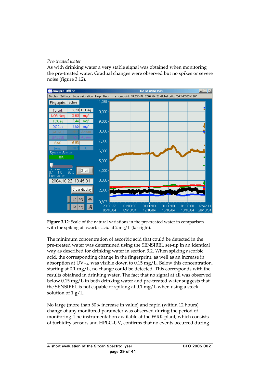## *Pre-treated water*

As with drinking water a very stable signal was obtained when monitoring the pre-treated water. Gradual changes were observed but no spikes or severe noise (figure 3.12).



**Figure 3.12**: Scale of the natural variations in the pre-treated water in comparison with the spiking of ascorbic acid at  $2 \text{ mg/L}$  (far right).

pre-treated water was determined using the SENSIBEL set-up in an identical below 0.15 mg/L in both drinking water and pre-treated water suggests that the SENSIBEL is not capable of spiking at  $0.1$  mg/L when using a stock solution of  $1 g/L$ . The minimum concentration of ascorbic acid that could be detected in the way as described for drinking water in section 3.2. When spiking ascorbic acid, the corresponding change in the fingerprint, as well as an increase in absorption at  $UV_{254}$ , was visible down to 0.15 mg/L. Below this concentration, starting at 0.1 mg/L, no change could be detected. This corresponds with the results obtained in drinking water. The fact that no signal at all was observed

of turbidity sensors and HPLC-UV, confirms that no events occurred during No large (more than 50% increase in value) and rapid (within 12 hours) change of any monitored parameter was observed during the period of monitoring. The instrumentation available at the WRK plant, which consists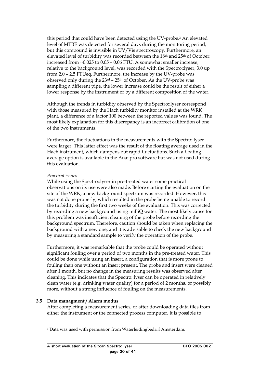<span id="page-32-0"></span>this period that could have been detected using the UV-probe.[3](#page-32-1) An elevated level of MTBE was detected for several days during the monitoring period, but this compound is invisible in UV/Vis spectroscopy. Furthermore, an elevated level of turbidity was recorded between the 18<sup>th</sup> and 25<sup>th</sup> of October: increased from ~0.025 to 0.05 – 0.06 FTU. A somewhat smaller increase, relative to the background level, was recorded with the Spectro::lyser; 3.0 up from 2.0 – 2.5 FTUeq. Furthermore, the increase by the UV-probe was observed only during the  $23<sup>rd</sup> - 25<sup>th</sup>$  of October. As the UV-probe was sampling a different pipe, the lower increase could be the result of either a lower response by the instrument or by a different composition of the water.

Although the trends in turbidity observed by the Spectro::lyser correspond with those measured by the Hach turbidity monitor installed at the WRK plant, a difference of a factor 100 between the reported values was found. The most likely explanation for this discrepancy is an incorrect calibration of one of the two instruments.

Furthermore, the fluctuations in the measurements with the Spectro::lyser were larger. This latter effect was the result of the floating average used in the Hach instrument, which dampens out rapid fluctuations. Such a floating average option is available in the Ana::pro software but was not used during this evaluation.

#### *Practical issues*

While using the Spectro::lyser in pre-treated water some practical observations on its use were also made. Before starting the evaluation on the site of the WRK, a new background spectrum was recorded. However, this was not done properly, which resulted in the probe being unable to record the turbidity during the first two weeks of the evaluation. This was corrected by recording a new background using milliQ water. The most likely cause for this problem was insufficient cleaning of the probe before recording the background spectrum. Therefore, caution should be taken when replacing the background with a new one, and it is advisable to check the new background by measuring a standard sample to verify the operation of the probe.

Furthermore, it was remarkable that the probe could be operated without significant fouling over a period of two months in the pre-treated water. This could be done while using an insert, a configuration that is more prone to fouling than one without an insert present. The probe and insert were cleaned after 1 month, but no change in the measuring results was observed after cleaning. This indicates that the Spectro::lyser can be operated in relatively clean water (e.g. drinking water quality) for a period of 2 months, or possibly more, without a strong influence of fouling on the measurements.

## **3.5 Data managment / Alarm modus**

After completing a measurement series, or after downloading data files from either the instrument or the connected process computer, it is possible to

<span id="page-32-1"></span> <sup>3</sup> Data was used with permission from Waterleidingbedrijf Amsterdam.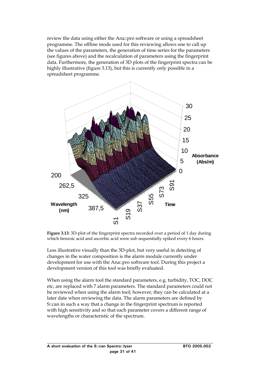review the data using either the Ana::pro software or using a spreadsheet programme. The offline mode used for this reviewing allows one to call up the values of the parameters, the generation of time series for the parameters (see figures above) and the recalculation of parameters using the fingerprint data. Furthermore, the generation of 3D plots of the fingerprint spectra can be highly illustrative (figure 3.13), but this is currently only possible in a spreadsheet programme.



**Figure 3.13**: 3D-plot of the fingerprint spectra recorded over a period of 1 day during which benzoic acid and ascorbic acid were sub sequentially spiked every 6 hours.

Less illustrative visually than the 3D-plot, but very useful in detecting of changes in the water composition is the alarm module currently under development for use with the Ana::pro software tool. During this project a development version of this tool was briefly evaluated.

When using the alarm tool the standard parameters, e.g. turbidity, TOC, DOC etc, are replaced with 7 alarm parameters. The standard parameters could not be reviewed when using the alarm tool; however, they can be calculated at a later date when reviewing the data. The alarm parameters are defined by S::can in such a way that a change in the fingerprint spectrum is reported with high sensitivity and so that each parameter covers a different range of wavelengths or characteristic of the spectrum.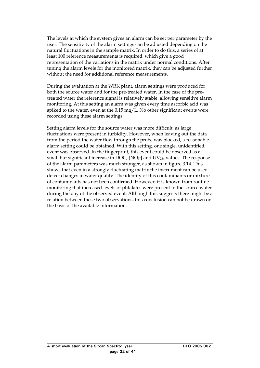The levels at which the system gives an alarm can be set per parameter by the user. The sensitivity of the alarm settings can be adjusted depending on the natural fluctuations in the sample matrix. In order to do this, a series of at least 100 reference measurements is required, which give a good representation of the variations in the matrix under normal conditions. After tuning the alarm levels for the monitored matrix, they can be adjusted further without the need for additional reference measurements.

During the evaluation at the WRK plant, alarm settings were produced for both the source water and for the pre-treated water. In the case of the pretreated water the reference signal is relatively stable, allowing sensitive alarm monitoring. At this setting an alarm was given every time ascorbic acid was spiked to the water, even at the 0.15 mg/L. No other significant events were recorded using these alarm settings.

Setting alarm levels for the source water was more difficult, as large fluctuations were present in turbidity. However, when leaving out the data from the period the water flow through the probe was blocked, a reasonable alarm setting could be obtained. With this setting, one single, unidentified, event was observed. In the fingerprint, this event could be observed as a small but significant increase in DOC, [NO<sub>3</sub>] and UV<sub>254</sub> values. The response of the alarm parameters was much stronger, as shown in figure 3.14. This shows that even in a strongly fluctuating matrix the instrument can be used detect changes in water quality. The identity of this contaminants or mixture of contaminants has not been confirmed. However, it is known from routine monitoring that increased levels of phtalates were present in the source water during the day of the observed event. Although this suggests there might be a relation between these two observations, this conclusion can not be drawn on the basis of the available information.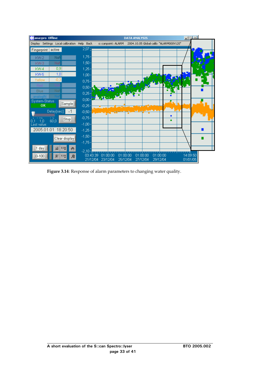

**Figure 3.14**: Response of alarm parameters to changing water quality.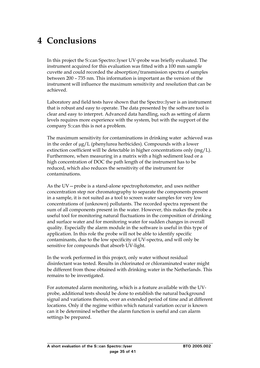# <span id="page-37-0"></span>**4 Conclusions**

In this project the S::can Spectro::lyser UV-probe was briefly evaluated. The instrument acquired for this evaluation was fitted with a 100 mm sample cuvette and could recorded the absorption/transmission spectra of samples between 200 – 735 nm. This information is important as the version of the instrument will influence the maximum sensitivity and resolution that can be achieved.

Laboratory and field tests have shown that the Spectro::lyser is an instrument that is robust and easy to operate. The data presented by the software tool is clear and easy to interpret. Advanced data handling, such as setting of alarm levels requires more experience with the system, but with the support of the company S::can this is not a problem.

The maximum sensitivity for contaminations in drinking water achieved was in the order of  $\mu$ g/L (phenylurea herbicides). Compounds with a lower extinction coefficient will be detectable in higher concentrations only (mg/L). Furthermore, when measuring in a matrix with a high sediment load or a high concentration of DOC the path length of the instrument has to be reduced, which also reduces the sensitivity of the instrument for contaminations.

As the UV—probe is a stand-alone spectrophotometer, and uses neither concentration step nor chromatography to separate the components present in a sample, it is not suited as a tool to screen water samples for very low concentrations of (unknown) pollutants. The recorded spectra represent the sum of all components present in the water. However, this makes the probe a useful tool for monitoring natural fluctuations in the composition of drinking and surface water and for monitoring water for sudden changes in overall quality. Especially the alarm module in the software is useful in this type of application. In this role the probe will not be able to identify specific contaminants, due to the low specificity of UV-spectra, and will only be sensitive for compounds that absorb UV-light.

In the work performed in this project, only water without residual disinfectant was tested. Results in chlorinated or chloraminated water might be different from those obtained with drinking water in the Netherlands. This remains to be investigated.

For automated alarm monitoring, which is a feature available with the UVprobe, additional tests should be done to establish the natural background signal and variations therein, over an extended period of time and at different locations. Only if the regime within which natural variation occur is known can it be determined whether the alarm function is useful and can alarm settings be prepared.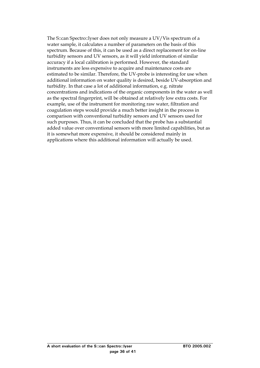The S::can Spectro::lyser does not only measure a UV/Vis spectrum of a water sample, it calculates a number of parameters on the basis of this spectrum. Because of this, it can be used as a direct replacement for on-line turbidity sensors and UV sensors, as it will yield information of similar accuracy if a local calibration is performed. However, the standard instruments are less expensive to acquire and maintenance costs are estimated to be similar. Therefore, the UV-probe is interesting for use when additional information on water quality is desired, beside UV-absorption and turbidity. In that case a lot of additional information, e.g. nitrate concentrations and indications of the organic components in the water as well as the spectral fingerprint, will be obtained at relatively low extra costs. For example, use of the instrument for monitoring raw water, filtration and coagulation steps would provide a much better insight in the process in comparison with conventional turbidity sensors and UV sensors used for such purposes. Thus, it can be concluded that the probe has a substantial added value over conventional sensors with more limited capabilities, but as it is somewhat more expensive, it should be considered mainly in applications where this additional information will actually be used.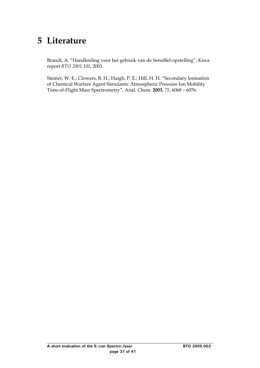## <span id="page-39-0"></span>**5 Literature**

Brandt, A. "Handleiding voor het gebruik van de SensiBel-opstelling", Kiwa report *BTO 2001.101*, 2001.

Steiner, W. E.; Clowers, B. H.; Haigh, P. E.; Hill, H. H. "Secondary Ionisation of Chemical Warfare Agent Simulants: Atmospheric Pressure Ion Mobility Time-of-Flight Mass Spectrometry", Anal. Chem. **2003**, *75*, 6068 – 6076.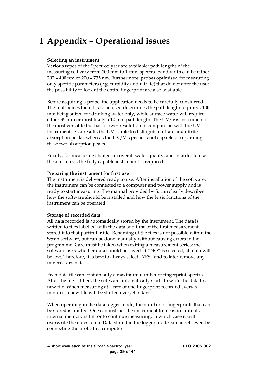# <span id="page-41-0"></span> **I Appendix – Operational issues**

### **Selecting an instrument**

Various types of the Spectro::lyser are available: path lengths of the measuring cell vary from 100 mm to 1 mm, spectral bandwidth can be either 200 – 400 nm or 200 – 735 nm. Furthermore, probes optimised for measuring only specific parameters (e.g. turbidity and nitrate) that do not offer the user the possibility to look at the entire fingerprint are also available.

Before acquiring a probe, the application needs to be carefully considered. The matrix in which it is to be used determines the path length required, 100 mm being suited for drinking water only, while surface water will require either 35 mm or most likely a 10 mm path length. The UV/Vis instrument is the most versatile but has a lower resolution in comparison with the UV instrument. As a results the UV is able to distinguish nitrate and nitrite absorption peaks, whereas the UV/Vis probe is not capable of separating these two absorption peaks.

Finally, for measuring changes in overall water quality, and in order to use the alarm tool, the fully capable instrument is required.

#### **Preparing the instrument for first use**

The instrument is delivered ready to use. After installation of the software, the instrument can be connected to a computer and power supply and is ready to start measuring. The manual provided by S::can clearly describes how the software should be installed and how the basic functions of the instrument can be operated.

#### **Storage of recorded data**

All data recorded is automatically stored by the instrument. The data is written to files labelled with the data and time of the first measurement stored into that particular file. Renaming of the files is not possible within the S::can software, but can be done manually without causing errors in the programme. Care must be taken when exiting a measurement series: the software asks whether data should be saved. If "NO" is selected, all data will be lost. Therefore, it is best to always select "YES" and to later remove any unnecessary data.

Each data file can contain only a maximum number of fingerprint spectra. After the file is filled, the software automatically starts to write the data to a new file. When measuring at a rate of one fingerprint recorded every 5 minutes, a new file will be started every 4.5 days.

When operating in the data logger mode, the number of fingerprints that can be stored is limited. One can instruct the instrument to measure until its internal memory is full or to continue measuring, in which case it will overwrite the oldest data. Data stored in the logger mode can be retrieved by connecting the probe to a computer.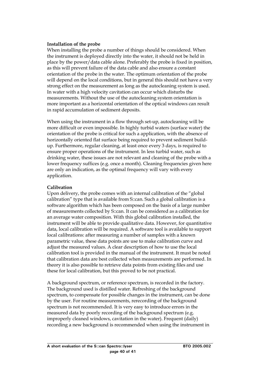#### **Installation of the probe**

When installing the probe a number of things should be considered. When the instrument is deployed directly into the water, it should not be held in place by the power/data cable alone. Preferably the probe is fixed in position, as this will prevent failure of the data cable and also ensure a constant orientation of the probe in the water. The optimum orientation of the probe will depend on the local conditions, but in general this should not have a very strong effect on the measurement as long as the autocleaning system is used. In water with a high velocity cavitation can occur which disturbs the measurements. Without the use of the autocleaning system orientation is more important as a horizontal orientation of the optical windows can result in rapid accumulation of sediment deposits.

When using the instrument in a flow through set-up, autocleaning will be more difficult or even impossible. In highly turbid waters (surface water) the orientation of the probe is critical for such a application, with the absence of horizontally oriented flat surface being required to prevent sediment buildup. Furthermore, regular cleaning, at least once every 3 days, is required to ensure proper operations of the instrument. In less turbid water, such as drinking water, these issues are not relevant and cleaning of the probe with a lower frequency suffices (e.g. once a month). Cleaning frequencies given here are only an indication, as the optimal frequency will vary with every application.

## **Calibration**

Upon delivery, the probe comes with an internal calibration of the "global calibration" type that is available from S::can. Such a global calibration is a software algorithm which has been composed on the basis of a large number of measurements collected by S::can. It can be considered as a calibration for an average water composition. With this global calibration installed, the instrument will be able to provide qualitative data. However, for quantitative data, local calibration will be required. A software tool is available to support local calibrations: after measuring a number of samples with a known parametric value, these data points are use to make calibration curve and adjust the measured values. A clear description of how to use the local calibration tool is provided in the manual of the instrument. It must be noted that calibration data are best collected when measurements are performed. In theory it is also possible to retrieve data points from existing files and use these for local calibration, but this proved to be not practical.

A background spectrum, or reference spectrum, is recorded in the factory. The background used is distilled water. Refreshing of the background spectrum, to compensate for possible changes in the instrument, can be done by the user. For routine measurements, rerecording of the background spectrum is not recommended. It is very easy to introduce errors in the measured data by poorly recording of the background spectrum (e.g. improperly cleaned windows, cavitation in the water). Frequent (daily) recording a new background is recommended when using the instrument in